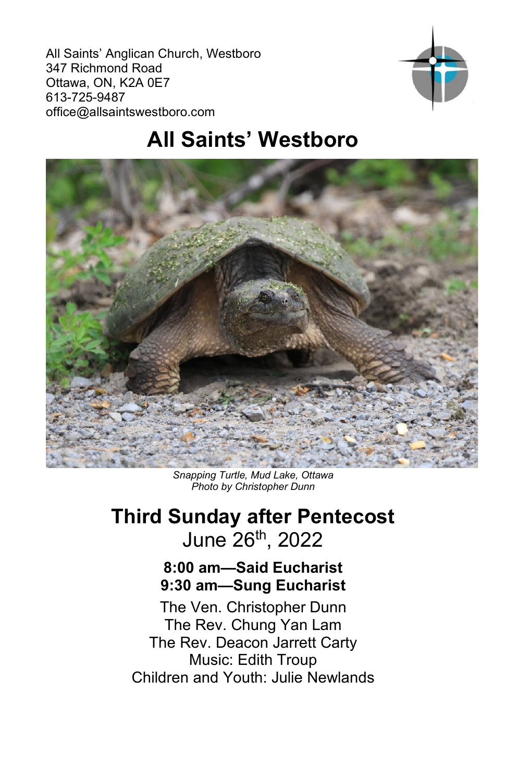All Saints' Anglican Church, Westboro 347 Richmond Road Ottawa, ON, K2A 0E7 613-725-9487 office@allsaintswestboro.com



# **All Saints' Westboro**



*Snapping Turtle, Mud Lake, Ottawa Photo by Christopher Dunn*

## **Third Sunday after Pentecost** June 26th, 2022

**8:00 am—Said Eucharist 9:30 am—Sung Eucharist**

The Ven. Christopher Dunn The Rev. Chung Yan Lam The Rev. Deacon Jarrett Carty Music: Edith Troup Children and Youth: Julie Newlands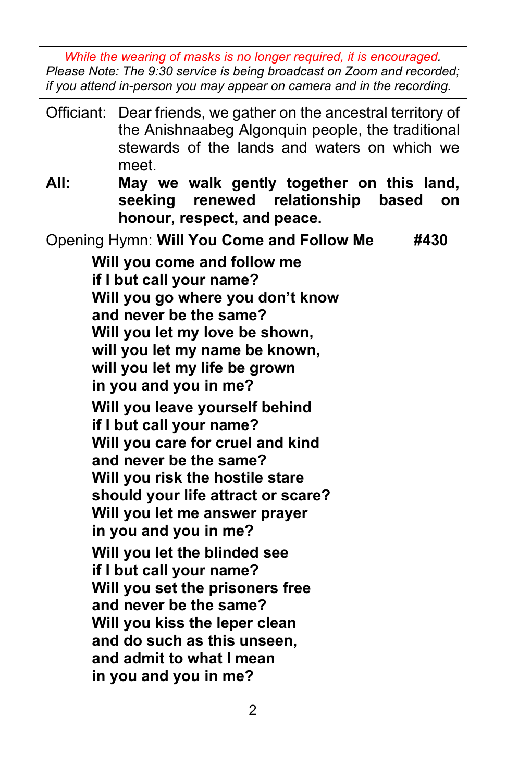*While the wearing of masks is no longer required, it is encouraged. Please Note: The 9:30 service is being broadcast on Zoom and recorded; if you attend in-person you may appear on camera and in the recording.*

|                                  | Officiant: Dear friends, we gather on the ancestral territory of                 |  |  |  |  |  |  |
|----------------------------------|----------------------------------------------------------------------------------|--|--|--|--|--|--|
|                                  | the Anishnaabeg Algonquin people, the traditional                                |  |  |  |  |  |  |
|                                  | stewards of the lands and waters on which we                                     |  |  |  |  |  |  |
|                                  | meet.                                                                            |  |  |  |  |  |  |
| All:                             | May we walk gently together on this land,                                        |  |  |  |  |  |  |
|                                  | relationship<br>seeking<br>renewed<br>based<br>on<br>honour, respect, and peace. |  |  |  |  |  |  |
|                                  | Opening Hymn: Will You Come and Follow Me<br>#430                                |  |  |  |  |  |  |
|                                  |                                                                                  |  |  |  |  |  |  |
|                                  | Will you come and follow me                                                      |  |  |  |  |  |  |
| if I but call your name?         |                                                                                  |  |  |  |  |  |  |
| Will you go where you don't know |                                                                                  |  |  |  |  |  |  |
| and never be the same?           |                                                                                  |  |  |  |  |  |  |
|                                  | Will you let my love be shown,                                                   |  |  |  |  |  |  |
| will you let my name be known,   |                                                                                  |  |  |  |  |  |  |
|                                  | will you let my life be grown<br>in you and you in me?                           |  |  |  |  |  |  |
|                                  |                                                                                  |  |  |  |  |  |  |
|                                  | Will you leave yourself behind                                                   |  |  |  |  |  |  |
|                                  | if I but call your name?                                                         |  |  |  |  |  |  |
|                                  | Will you care for cruel and kind                                                 |  |  |  |  |  |  |
|                                  | and never be the same?                                                           |  |  |  |  |  |  |
|                                  | Will you risk the hostile stare                                                  |  |  |  |  |  |  |
|                                  | should your life attract or scare?                                               |  |  |  |  |  |  |
|                                  | Will you let me answer prayer                                                    |  |  |  |  |  |  |
|                                  | in you and you in me?                                                            |  |  |  |  |  |  |
|                                  | Will you let the blinded see                                                     |  |  |  |  |  |  |
|                                  | if I but call your name?                                                         |  |  |  |  |  |  |
|                                  | Will you set the prisoners free                                                  |  |  |  |  |  |  |
|                                  | and never be the same?                                                           |  |  |  |  |  |  |
|                                  | Will you kiss the leper clean                                                    |  |  |  |  |  |  |
|                                  | and do such as this unseen,                                                      |  |  |  |  |  |  |
|                                  | and admit to what I mean                                                         |  |  |  |  |  |  |
|                                  | in you and you in me?                                                            |  |  |  |  |  |  |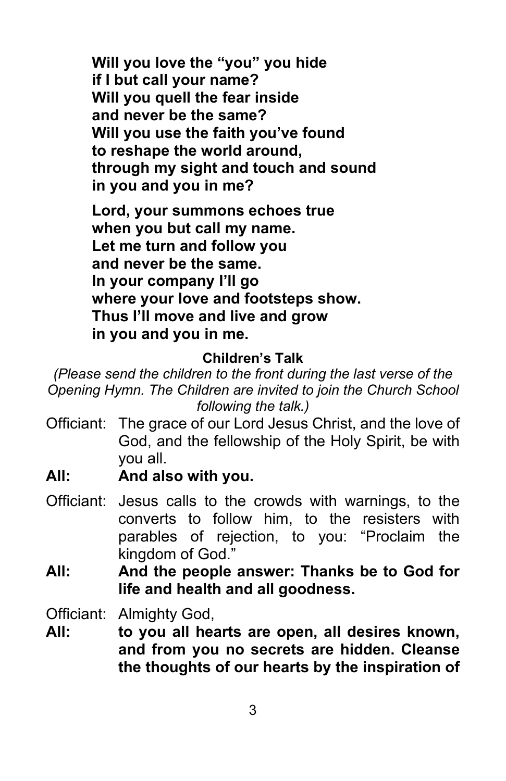**Will you love the "you" you hide if I but call your name? Will you quell the fear inside and never be the same? Will you use the faith you've found to reshape the world around, through my sight and touch and sound in you and you in me?**

**Lord, your summons echoes true when you but call my name. Let me turn and follow you and never be the same. In your company I'll go where your love and footsteps show. Thus I'll move and live and grow in you and you in me.**

#### **Children's Talk**

*(Please send the children to the front during the last verse of the Opening Hymn. The Children are invited to join the Church School following the talk.)*

- Officiant: The grace of our Lord Jesus Christ, and the love of God, and the fellowship of the Holy Spirit, be with you all.
- **All: And also with you.**
- Officiant: Jesus calls to the crowds with warnings, to the converts to follow him, to the resisters with parables of rejection, to you: "Proclaim the kingdom of God."
- **All: And the people answer: Thanks be to God for life and health and all goodness.**

Officiant: Almighty God,

**All: to you all hearts are open, all desires known, and from you no secrets are hidden. Cleanse the thoughts of our hearts by the inspiration of**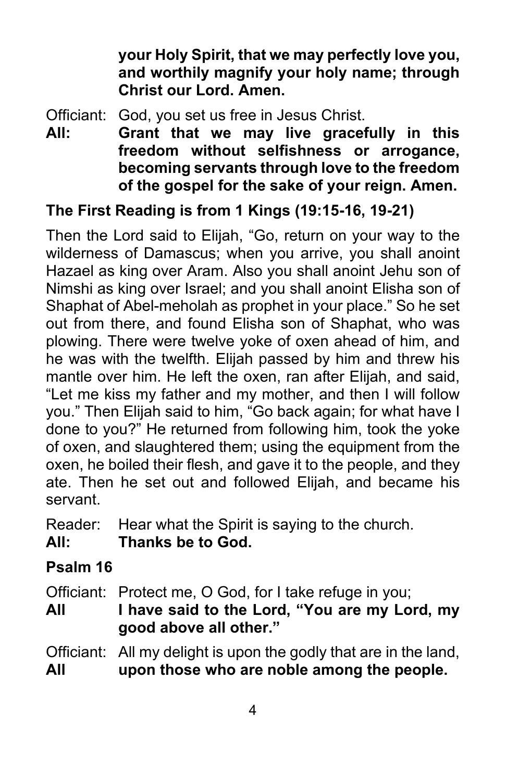**your Holy Spirit, that we may perfectly love you, and worthily magnify your holy name; through Christ our Lord. Amen.**

Officiant: God, you set us free in Jesus Christ.

**All: Grant that we may live gracefully in this freedom without selfishness or arrogance, becoming servants through love to the freedom of the gospel for the sake of your reign. Amen.**

## **The First Reading is from 1 Kings (19:15-16, 19-21)**

Then the Lord said to Elijah, "Go, return on your way to the wilderness of Damascus; when you arrive, you shall anoint Hazael as king over Aram. Also you shall anoint Jehu son of Nimshi as king over Israel; and you shall anoint Elisha son of Shaphat of Abel-meholah as prophet in your place." So he set out from there, and found Elisha son of Shaphat, who was plowing. There were twelve yoke of oxen ahead of him, and he was with the twelfth. Elijah passed by him and threw his mantle over him. He left the oxen, ran after Elijah, and said, "Let me kiss my father and my mother, and then I will follow you." Then Elijah said to him, "Go back again; for what have I done to you?" He returned from following him, took the yoke of oxen, and slaughtered them; using the equipment from the oxen, he boiled their flesh, and gave it to the people, and they ate. Then he set out and followed Elijah, and became his servant.

Reader: Hear what the Spirit is saying to the church. **All: Thanks be to God.**

## **Psalm 16**

Officiant: Protect me, O God, for I take refuge in you;

**All I have said to the Lord, "You are my Lord, my good above all other."**

## Officiant: All my delight is upon the godly that are in the land, **All upon those who are noble among the people.**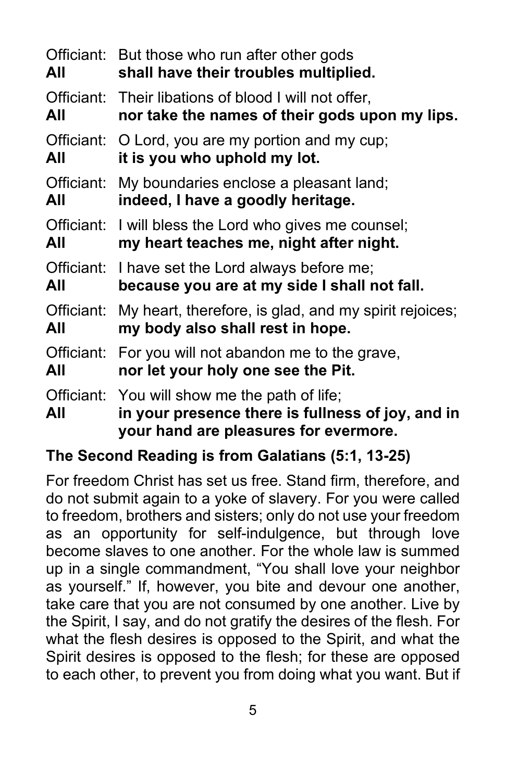Officiant: But those who run after other gods **All shall have their troubles multiplied.** Officiant: Their libations of blood I will not offer, **All nor take the names of their gods upon my lips.** Officiant: O Lord, you are my portion and my cup; **All it is you who uphold my lot.** Officiant: My boundaries enclose a pleasant land; **All indeed, I have a goodly heritage.** Officiant: I will bless the Lord who gives me counsel; **All my heart teaches me, night after night.** Officiant: I have set the Lord always before me; **All because you are at my side I shall not fall.** Officiant: My heart, therefore, is glad, and my spirit rejoices; **All my body also shall rest in hope.** Officiant: For you will not abandon me to the grave, **All nor let your holy one see the Pit.** Officiant: You will show me the path of life; **All in your presence there is fullness of joy, and in your hand are pleasures for evermore.**

## **The Second Reading is from Galatians (5:1, 13-25)**

For freedom Christ has set us free. Stand firm, therefore, and do not submit again to a yoke of slavery. For you were called to freedom, brothers and sisters; only do not use your freedom as an opportunity for self-indulgence, but through love become slaves to one another. For the whole law is summed up in a single commandment, "You shall love your neighbor as yourself." If, however, you bite and devour one another, take care that you are not consumed by one another. Live by the Spirit, I say, and do not gratify the desires of the flesh. For what the flesh desires is opposed to the Spirit, and what the Spirit desires is opposed to the flesh; for these are opposed to each other, to prevent you from doing what you want. But if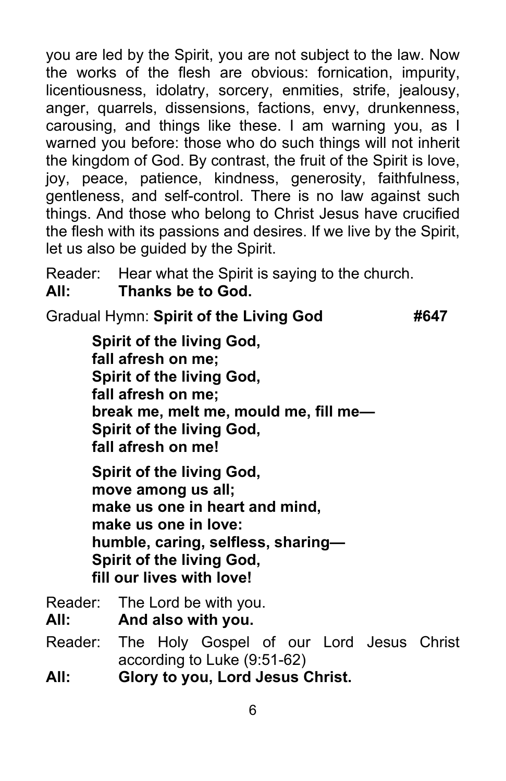you are led by the Spirit, you are not subject to the law. Now the works of the flesh are obvious: fornication, impurity, licentiousness, idolatry, sorcery, enmities, strife, jealousy, anger, quarrels, dissensions, factions, envy, drunkenness, carousing, and things like these. I am warning you, as I warned you before: those who do such things will not inherit the kingdom of God. By contrast, the fruit of the Spirit is love, joy, peace, patience, kindness, generosity, faithfulness, gentleness, and self-control. There is no law against such things. And those who belong to Christ Jesus have crucified the flesh with its passions and desires. If we live by the Spirit, let us also be guided by the Spirit.

Reader: Hear what the Spirit is saying to the church.

**All: Thanks be to God.**

Gradual Hymn: **Spirit of the Living God #647**

**Spirit of the living God, fall afresh on me; Spirit of the living God, fall afresh on me; break me, melt me, mould me, fill me— Spirit of the living God, fall afresh on me! Spirit of the living God, move among us all; make us one in heart and mind, make us one in love: humble, caring, selfless, sharing— Spirit of the living God, fill our lives with love!**

Reader: The Lord be with you.

**All: And also with you.**

Reader: The Holy Gospel of our Lord Jesus Christ according to Luke (9:51-62)

**All: Glory to you, Lord Jesus Christ.**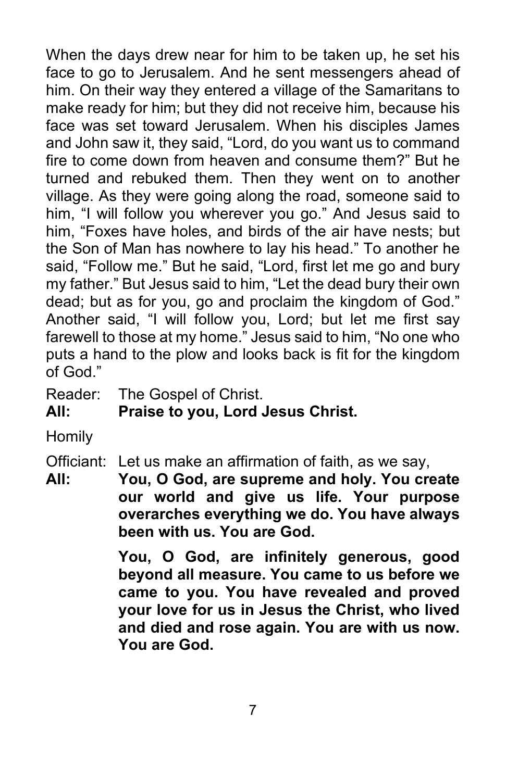When the days drew near for him to be taken up, he set his face to go to Jerusalem. And he sent messengers ahead of him. On their way they entered a village of the Samaritans to make ready for him; but they did not receive him, because his face was set toward Jerusalem. When his disciples James and John saw it, they said, "Lord, do you want us to command fire to come down from heaven and consume them?" But he turned and rebuked them. Then they went on to another village. As they were going along the road, someone said to him, "I will follow you wherever you go." And Jesus said to him, "Foxes have holes, and birds of the air have nests; but the Son of Man has nowhere to lay his head." To another he said, "Follow me." But he said, "Lord, first let me go and bury my father." But Jesus said to him, "Let the dead bury their own dead; but as for you, go and proclaim the kingdom of God." Another said, "I will follow you, Lord; but let me first say farewell to those at my home." Jesus said to him, "No one who puts a hand to the plow and looks back is fit for the kingdom of God."

Reader: The Gospel of Christ.

## **All: Praise to you, Lord Jesus Christ.**

**Homily** 

Officiant: Let us make an affirmation of faith, as we say,

**All: You, O God, are supreme and holy. You create our world and give us life. Your purpose overarches everything we do. You have always been with us. You are God.** 

> **You, O God, are infinitely generous, good beyond all measure. You came to us before we came to you. You have revealed and proved your love for us in Jesus the Christ, who lived and died and rose again. You are with us now. You are God.**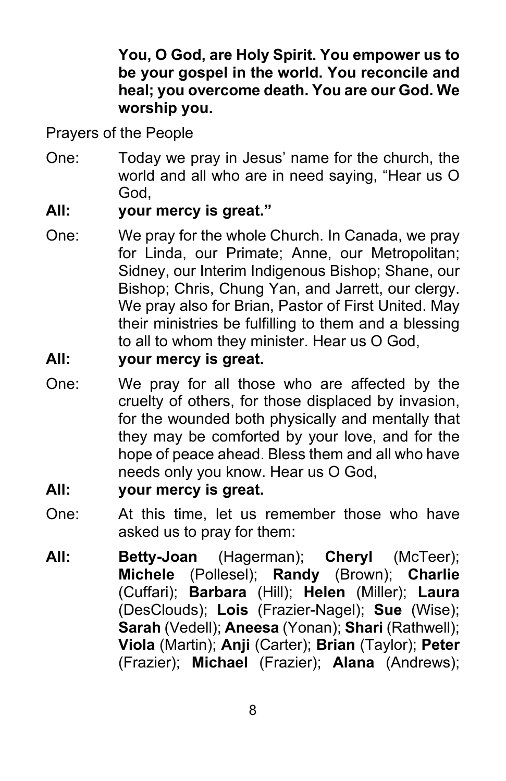**You, O God, are Holy Spirit. You empower us to be your gospel in the world. You reconcile and heal; you overcome death. You are our God. We worship you.**

Prayers of the People

One: Today we pray in Jesus' name for the church, the world and all who are in need saying, "Hear us O God,

#### **All: your mercy is great."**

One: We pray for the whole Church. In Canada, we pray for Linda, our Primate; Anne, our Metropolitan; Sidney, our Interim Indigenous Bishop; Shane, our Bishop; Chris, Chung Yan, and Jarrett, our clergy. We pray also for Brian, Pastor of First United. May their ministries be fulfilling to them and a blessing to all to whom they minister. Hear us O God,

## **All: your mercy is great.**

One: We pray for all those who are affected by the cruelty of others, for those displaced by invasion, for the wounded both physically and mentally that they may be comforted by your love, and for the hope of peace ahead. Bless them and all who have needs only you know. Hear us O God,

## **All: your mercy is great.**

- One: At this time, let us remember those who have asked us to pray for them:
- **All: Betty-Joan** (Hagerman); **Cheryl** (McTeer); **Michele** (Pollesel); **Randy** (Brown); **Charlie**  (Cuffari); **Barbara** (Hill); **Helen** (Miller); **Laura** (DesClouds); **Lois** (Frazier-Nagel); **Sue** (Wise); **Sarah** (Vedell); **Aneesa** (Yonan); **Shari** (Rathwell); **Viola** (Martin); **Anji** (Carter); **Brian** (Taylor); **Peter** (Frazier); **Michael** (Frazier); **Alana** (Andrews);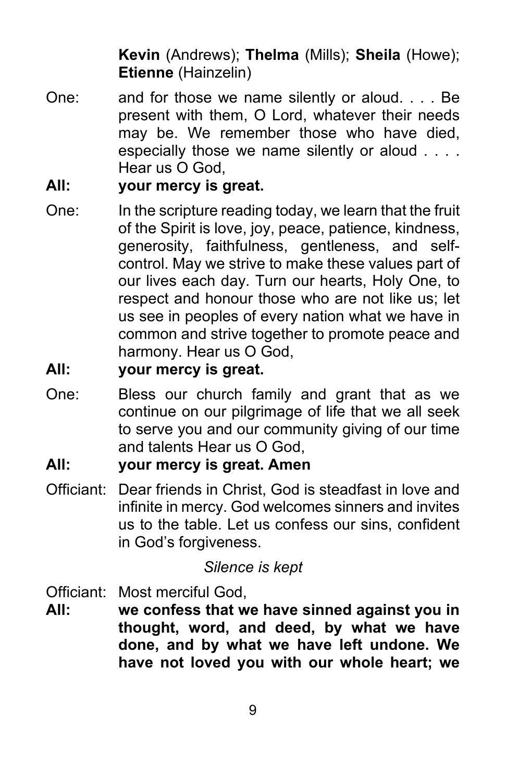**Kevin** (Andrews); **Thelma** (Mills); **Sheila** (Howe); **Etienne** (Hainzelin)

One: and for those we name silently or aloud. . . . Be present with them, O Lord, whatever their needs may be. We remember those who have died, especially those we name silently or aloud . . . . Hear us O God,

#### **All: your mercy is great.**

One: In the scripture reading today, we learn that the fruit of the Spirit is love, joy, peace, patience, kindness, generosity, faithfulness, gentleness, and selfcontrol. May we strive to make these values part of our lives each day. Turn our hearts, Holy One, to respect and honour those who are not like us; let us see in peoples of every nation what we have in common and strive together to promote peace and harmony. Hear us O God,

## **All: your mercy is great.**

One: Bless our church family and grant that as we continue on our pilgrimage of life that we all seek to serve you and our community giving of our time and talents Hear us O God,

#### **All: your mercy is great. Amen**

Officiant: Dear friends in Christ, God is steadfast in love and infinite in mercy. God welcomes sinners and invites us to the table. Let us confess our sins, confident in God's forgiveness.

## *Silence is kept*

Officiant: Most merciful God,

**All: we confess that we have sinned against you in thought, word, and deed, by what we have done, and by what we have left undone. We have not loved you with our whole heart; we**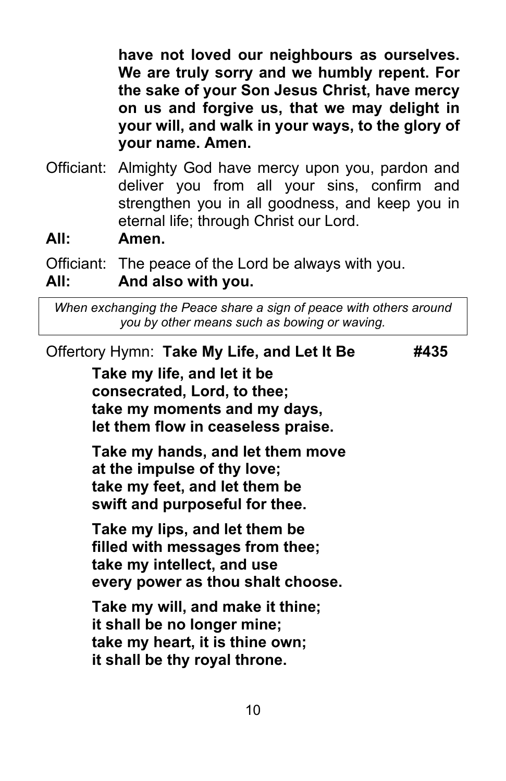**have not loved our neighbours as ourselves. We are truly sorry and we humbly repent. For the sake of your Son Jesus Christ, have mercy on us and forgive us, that we may delight in your will, and walk in your ways, to the glory of your name. Amen.** 

Officiant: Almighty God have mercy upon you, pardon and deliver you from all your sins, confirm and strengthen you in all goodness, and keep you in eternal life; through Christ our Lord.

**All: Amen.**

Officiant: The peace of the Lord be always with you. **All: And also with you.**

*When exchanging the Peace share a sign of peace with others around you by other means such as bowing or waving.*

| #435                                        |
|---------------------------------------------|
| Offertory Hymn: Take My Life, and Let It Be |

**Take my life, and let it be consecrated, Lord, to thee; take my moments and my days, let them flow in ceaseless praise.**

**Take my hands, and let them move at the impulse of thy love; take my feet, and let them be swift and purposeful for thee.**

**Take my lips, and let them be filled with messages from thee; take my intellect, and use every power as thou shalt choose.**

**Take my will, and make it thine; it shall be no longer mine; take my heart, it is thine own; it shall be thy royal throne.**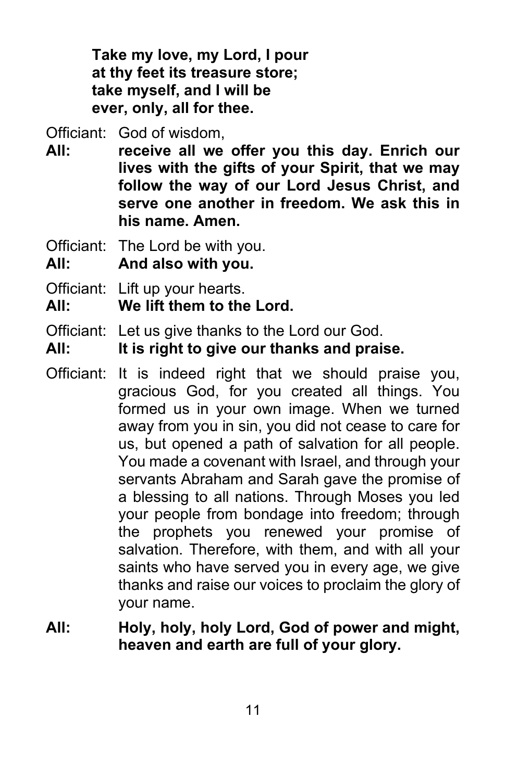**Take my love, my Lord, I pour at thy feet its treasure store; take myself, and I will be ever, only, all for thee.**

Officiant: God of wisdom,

**All: receive all we offer you this day. Enrich our lives with the gifts of your Spirit, that we may follow the way of our Lord Jesus Christ, and serve one another in freedom. We ask this in his name. Amen.**

Officiant: The Lord be with you.

**All: And also with you.**

Officiant: Lift up your hearts.

**All: We lift them to the Lord.**

Officiant: Let us give thanks to the Lord our God.

**All: It is right to give our thanks and praise.**

- Officiant: It is indeed right that we should praise you, gracious God, for you created all things. You formed us in your own image. When we turned away from you in sin, you did not cease to care for us, but opened a path of salvation for all people. You made a covenant with Israel, and through your servants Abraham and Sarah gave the promise of a blessing to all nations. Through Moses you led your people from bondage into freedom; through the prophets you renewed your promise of salvation. Therefore, with them, and with all your saints who have served you in every age, we give thanks and raise our voices to proclaim the glory of your name.
- **All: Holy, holy, holy Lord, God of power and might, heaven and earth are full of your glory.**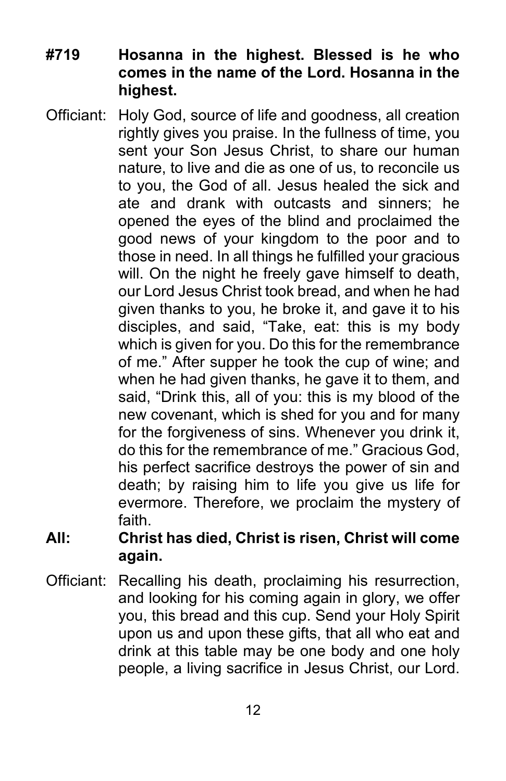- **#719 Hosanna in the highest. Blessed is he who comes in the name of the Lord. Hosanna in the highest.**
- Officiant: Holy God, source of life and goodness, all creation rightly gives you praise. In the fullness of time, you sent your Son Jesus Christ, to share our human nature, to live and die as one of us, to reconcile us to you, the God of all. Jesus healed the sick and ate and drank with outcasts and sinners; he opened the eyes of the blind and proclaimed the good news of your kingdom to the poor and to those in need. In all things he fulfilled your gracious will. On the night he freely gave himself to death, our Lord Jesus Christ took bread, and when he had given thanks to you, he broke it, and gave it to his disciples, and said, "Take, eat: this is my body which is given for you. Do this for the remembrance of me." After supper he took the cup of wine; and when he had given thanks, he gave it to them, and said, "Drink this, all of you: this is my blood of the new covenant, which is shed for you and for many for the forgiveness of sins. Whenever you drink it, do this for the remembrance of me." Gracious God, his perfect sacrifice destroys the power of sin and death; by raising him to life you give us life for evermore. Therefore, we proclaim the mystery of faith.
- **All: Christ has died, Christ is risen, Christ will come again.**
- Officiant: Recalling his death, proclaiming his resurrection, and looking for his coming again in glory, we offer you, this bread and this cup. Send your Holy Spirit upon us and upon these gifts, that all who eat and drink at this table may be one body and one holy people, a living sacrifice in Jesus Christ, our Lord.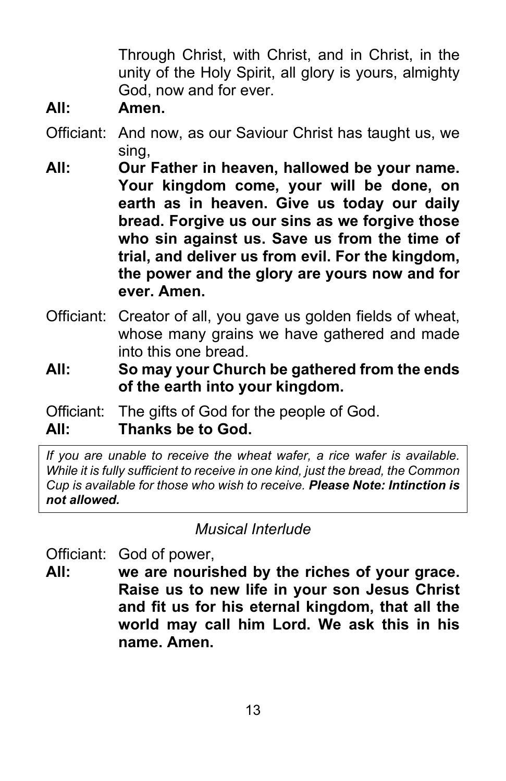Through Christ, with Christ, and in Christ, in the unity of the Holy Spirit, all glory is yours, almighty God, now and for ever.

- **All: Amen.**
- Officiant: And now, as our Saviour Christ has taught us, we sing,
- **All: Our Father in heaven, hallowed be your name. Your kingdom come, your will be done, on earth as in heaven. Give us today our daily bread. Forgive us our sins as we forgive those who sin against us. Save us from the time of trial, and deliver us from evil. For the kingdom, the power and the glory are yours now and for ever. Amen.**
- Officiant: Creator of all, you gave us golden fields of wheat, whose many grains we have gathered and made into this one bread.
- **All: So may your Church be gathered from the ends of the earth into your kingdom.**

Officiant: The gifts of God for the people of God. **All: Thanks be to God.**

*If you are unable to receive the wheat wafer, a rice wafer is available. While it is fully sufficient to receive in one kind, just the bread, the Common Cup is available for those who wish to receive. Please Note: Intinction is not allowed.*

*Musical Interlude*

Officiant: God of power,

**All: we are nourished by the riches of your grace. Raise us to new life in your son Jesus Christ and fit us for his eternal kingdom, that all the world may call him Lord. We ask this in his name. Amen.**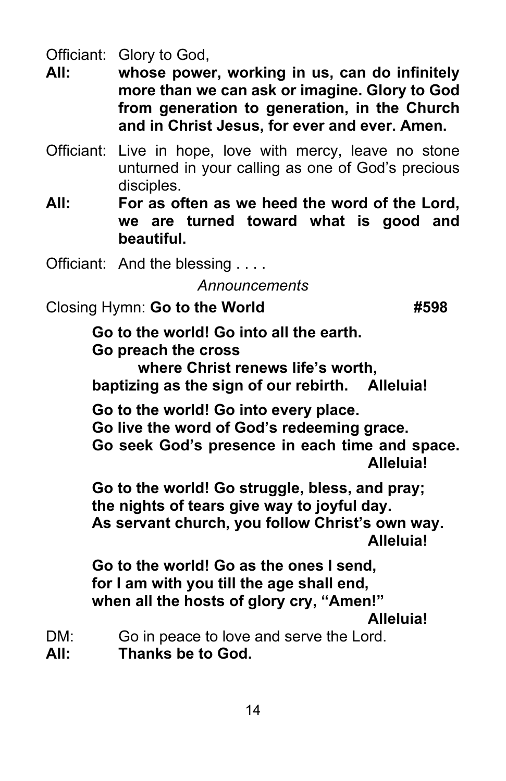Officiant: Glory to God,

- **All: whose power, working in us, can do infinitely more than we can ask or imagine. Glory to God from generation to generation, in the Church and in Christ Jesus, for ever and ever. Amen.**
- Officiant: Live in hope, love with mercy, leave no stone unturned in your calling as one of God's precious disciples.
- **All: For as often as we heed the word of the Lord, we are turned toward what is good and beautiful.**

Officiant: And the blessing . . . .

*Announcements*

Closing Hymn: **Go to the World #598**

**Go to the world! Go into all the earth. Go preach the cross** 

**where Christ renews life's worth, baptizing as the sign of our rebirth. Alleluia!**

**Go to the world! Go into every place.**

**Go live the word of God's redeeming grace.**

**Go seek God's presence in each time and space. Alleluia!** 

**Go to the world! Go struggle, bless, and pray; the nights of tears give way to joyful day. As servant church, you follow Christ's own way. Alleluia!**

**Go to the world! Go as the ones I send, for I am with you till the age shall end, when all the hosts of glory cry, "Amen!"**

#### **Alleluia!**

- DM: Go in peace to love and serve the Lord.
- **All: Thanks be to God.**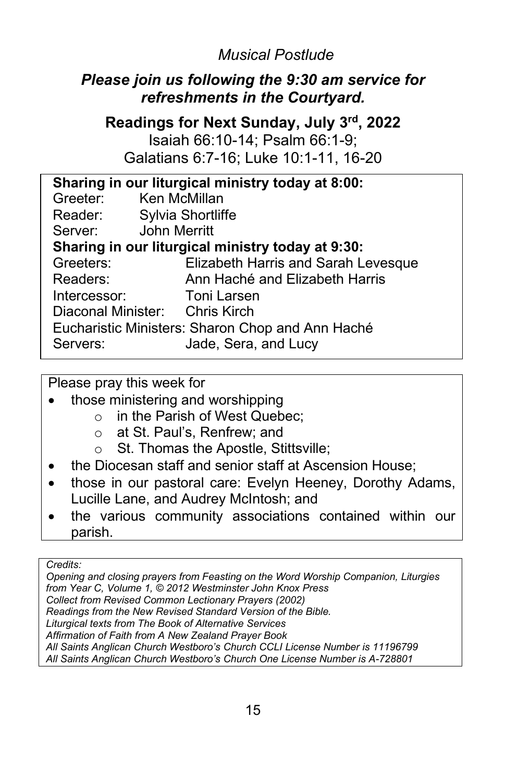#### *Musical Postlude*

#### *Please join us following the 9:30 am service for refreshments in the Courtyard.*

**Readings for Next Sunday, July 3rd, 2022** Isaiah 66:10-14; Psalm 66:1-9; Galatians 6:7-16; Luke 10:1-11, 16-20

| Sharing in our liturgical ministry today at 8:00: |                                     |  |  |  |  |  |
|---------------------------------------------------|-------------------------------------|--|--|--|--|--|
| Greeter:                                          | <b>Ken McMillan</b>                 |  |  |  |  |  |
|                                                   | Reader: Sylvia Shortliffe           |  |  |  |  |  |
|                                                   | Server: John Merritt                |  |  |  |  |  |
| Sharing in our liturgical ministry today at 9:30: |                                     |  |  |  |  |  |
| Greeters:                                         | Elizabeth Harris and Sarah Levesque |  |  |  |  |  |
| Readers:                                          | Ann Haché and Elizabeth Harris      |  |  |  |  |  |
| Intercessor:                                      | Toni Larsen                         |  |  |  |  |  |
|                                                   | Diaconal Minister: Chris Kirch      |  |  |  |  |  |
| Eucharistic Ministers: Sharon Chop and Ann Haché  |                                     |  |  |  |  |  |
| Servers:                                          | Jade, Sera, and Lucy                |  |  |  |  |  |

Please pray this week for

- those ministering and worshipping
	- o in the Parish of West Quebec;
	- o at St. Paul's, Renfrew; and
	- o St. Thomas the Apostle, Stittsville;
- the Diocesan staff and senior staff at Ascension House;
- those in our pastoral care: Evelyn Heeney, Dorothy Adams, Lucille Lane, and Audrey McIntosh; and
- the various community associations contained within our parish.

*Credits:* 

*Opening and closing prayers from Feasting on the Word Worship Companion, Liturgies from Year C, Volume 1, © 2012 Westminster John Knox Press Collect from Revised Common Lectionary Prayers (2002) Readings from the New Revised Standard Version of the Bible. Liturgical texts from The Book of Alternative Services Affirmation of Faith from A New Zealand Prayer Book All Saints Anglican Church Westboro's Church CCLI License Number is 11196799 All Saints Anglican Church Westboro's Church One License Number is A-728801*